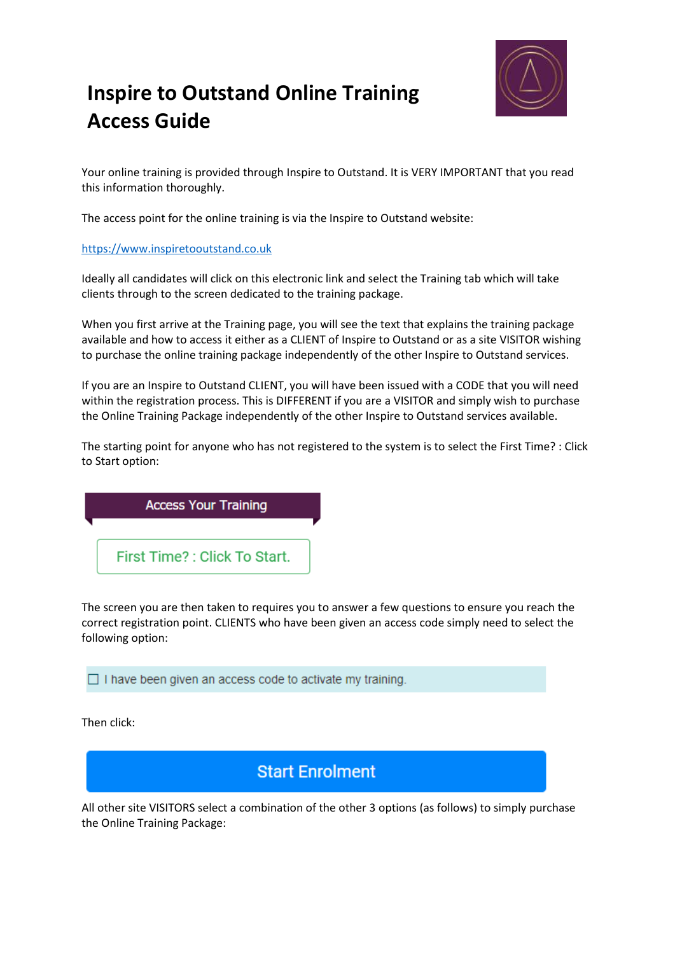

## **Inspire to Outstand Online Training Access Guide**

Your online training is provided through Inspire to Outstand. It is VERY IMPORTANT that you read this information thoroughly.

The access point for the online training is via the Inspire to Outstand website:

[https://www.inspiretooutstand.co.uk](https://www.inspiretooutstand.co.uk/)

Ideally all candidates will click on this electronic link and select the Training tab which will take clients through to the screen dedicated to the training package.

When you first arrive at the Training page, you will see the text that explains the training package available and how to access it either as a CLIENT of Inspire to Outstand or as a site VISITOR wishing to purchase the online training package independently of the other Inspire to Outstand services.

If you are an Inspire to Outstand CLIENT, you will have been issued with a CODE that you will need within the registration process. This is DIFFERENT if you are a VISITOR and simply wish to purchase the Online Training Package independently of the other Inspire to Outstand services available.

The starting point for anyone who has not registered to the system is to select the First Time? : Click to Start option:



The screen you are then taken to requires you to answer a few questions to ensure you reach the correct registration point. CLIENTS who have been given an access code simply need to select the following option:

 $\Box$  I have been given an access code to activate my training.

Then click:



All other site VISITORS select a combination of the other 3 options (as follows) to simply purchase the Online Training Package: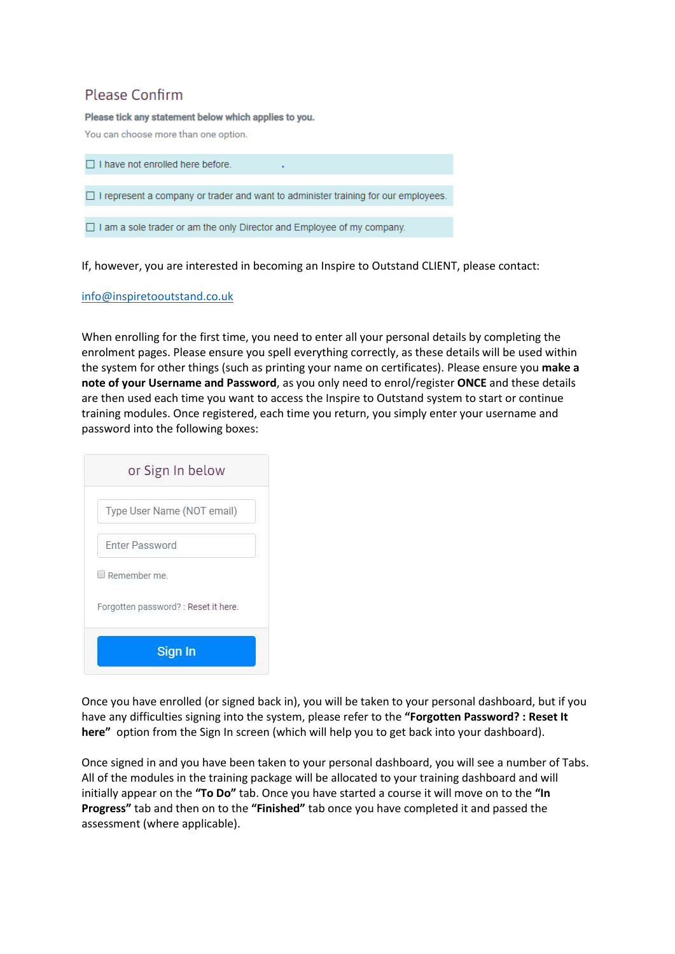## Please Confirm

Please tick any statement below which applies to you.

You can choose more than one option.

□ I have not enrolled here before.

 $\Box$  I represent a company or trader and want to administer training for our employees.

□ I am a sole trader or am the only Director and Employee of my company.

If, however, you are interested in becoming an Inspire to Outstand CLIENT, please contact:

## [info@inspiretooutstand.co.uk](mailto:info@inspiretooutstand.co.uk)

When enrolling for the first time, you need to enter all your personal details by completing the enrolment pages. Please ensure you spell everything correctly, as these details will be used within the system for other things (such as printing your name on certificates). Please ensure you **make a note of your Username and Password**, as you only need to enrol/register **ONCE** and these details are then used each time you want to access the Inspire to Outstand system to start or continue training modules. Once registered, each time you return, you simply enter your username and password into the following boxes:

Once you have enrolled (or signed back in), you will be taken to your personal dashboard, but if you have any difficulties signing into the system, please refer to the **"Forgotten Password? : Reset It here"** option from the Sign In screen (which will help you to get back into your dashboard).

Once signed in and you have been taken to your personal dashboard, you will see a number of Tabs. All of the modules in the training package will be allocated to your training dashboard and will initially appear on the **"To Do"** tab. Once you have started a course it will move on to the **"In Progress"** tab and then on to the **"Finished"** tab once you have completed it and passed the assessment (where applicable).